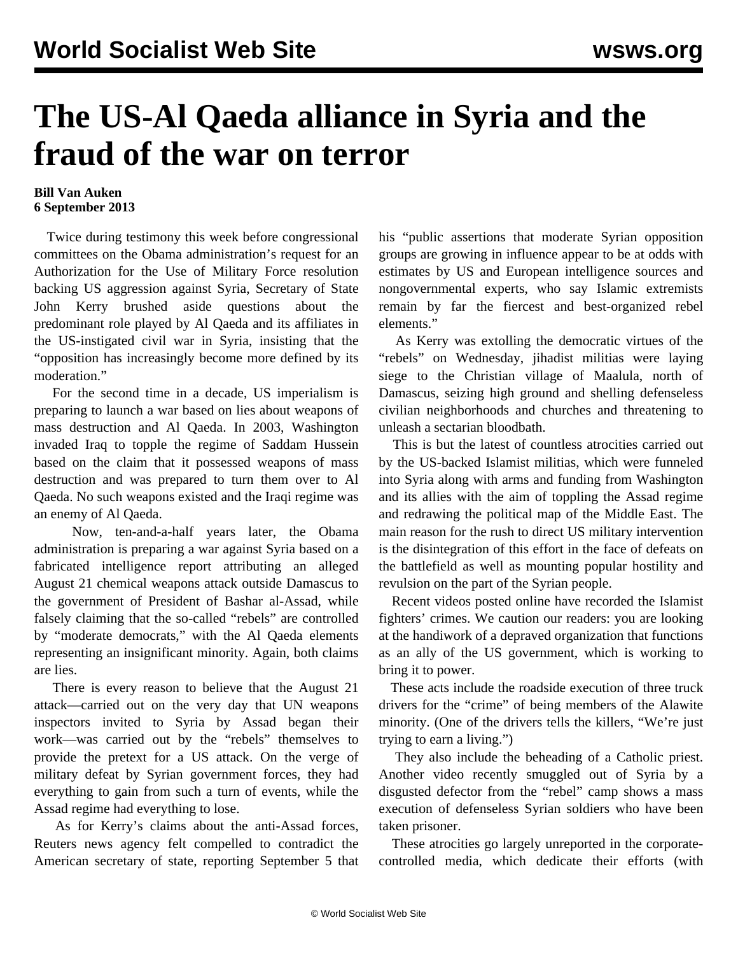## **The US-Al Qaeda alliance in Syria and the fraud of the war on terror**

## **Bill Van Auken 6 September 2013**

 Twice during testimony this week before congressional committees on the Obama administration's request for an Authorization for the Use of Military Force resolution backing US aggression against Syria, Secretary of State John Kerry brushed aside questions about the predominant role played by Al Qaeda and its affiliates in the US-instigated civil war in Syria, insisting that the "opposition has increasingly become more defined by its moderation."

 For the second time in a decade, US imperialism is preparing to launch a war based on lies about weapons of mass destruction and Al Qaeda. In 2003, Washington invaded Iraq to topple the regime of Saddam Hussein based on the claim that it possessed weapons of mass destruction and was prepared to turn them over to Al Qaeda. No such weapons existed and the Iraqi regime was an enemy of Al Qaeda.

 Now, ten-and-a-half years later, the Obama administration is preparing a war against Syria based on a fabricated intelligence report attributing an alleged August 21 chemical weapons attack outside Damascus to the government of President of Bashar al-Assad, while falsely claiming that the so-called "rebels" are controlled by "moderate democrats," with the Al Qaeda elements representing an insignificant minority. Again, both claims are lies.

 There is every reason to believe that the August 21 attack—carried out on the very day that UN weapons inspectors invited to Syria by Assad began their work—was carried out by the "rebels" themselves to provide the pretext for a US attack. On the verge of military defeat by Syrian government forces, they had everything to gain from such a turn of events, while the Assad regime had everything to lose.

 As for Kerry's claims about the anti-Assad forces, Reuters news agency felt compelled to contradict the American secretary of state, reporting September 5 that his "public assertions that moderate Syrian opposition groups are growing in influence appear to be at odds with estimates by US and European intelligence sources and nongovernmental experts, who say Islamic extremists remain by far the fiercest and best-organized rebel elements."

 As Kerry was extolling the democratic virtues of the "rebels" on Wednesday, jihadist militias were laying siege to the Christian village of Maalula, north of Damascus, seizing high ground and shelling defenseless civilian neighborhoods and churches and threatening to unleash a sectarian bloodbath.

 This is but the latest of countless atrocities carried out by the US-backed Islamist militias, which were funneled into Syria along with arms and funding from Washington and its allies with the aim of toppling the Assad regime and redrawing the political map of the Middle East. The main reason for the rush to direct US military intervention is the disintegration of this effort in the face of defeats on the battlefield as well as mounting popular hostility and revulsion on the part of the Syrian people.

 Recent videos posted online have recorded the Islamist fighters' crimes. We caution our readers: you are looking at the handiwork of a depraved organization that functions as an ally of the US government, which is working to bring it to power.

 These acts include the [roadside execution](http://www.youtube.com/watch?v=si21ZpFKUPA) of three truck drivers for the "crime" of being members of the Alawite minority. (One of the drivers tells the killers, "We're just trying to earn a living.")

 They also include the [beheading](http://www.youtube.com/watch?v=f509S69K2h4) of a Catholic priest. Another video recently smuggled out of Syria by a disgusted defector from the "rebel" camp shows a [mass](http://www.youtube.com/watch?v=s1BgOJqtZVA) [execution](http://www.youtube.com/watch?v=s1BgOJqtZVA) of defenseless Syrian soldiers who have been taken prisoner.

 These atrocities go largely unreported in the corporatecontrolled media, which dedicate their efforts (with